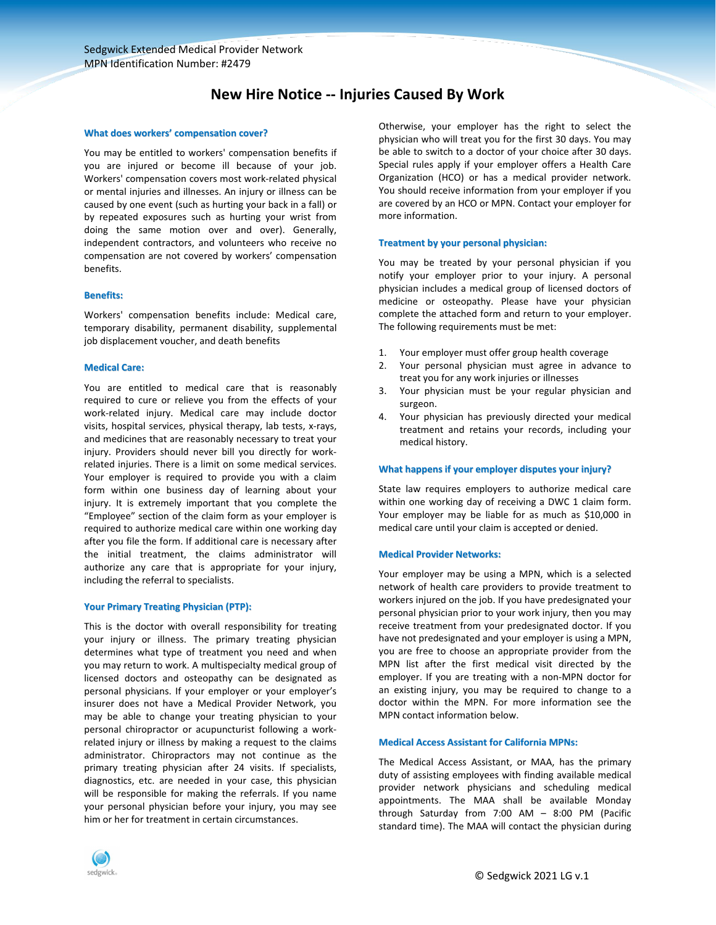# **New Hire Notice -- Injuries Caused By Work**

## **What does workers' compensation cover?**

You may be entitled to workers' compensation benefits if you are injured or become ill because of your job. Workers' compensation covers most work-related physical or mental injuries and illnesses. An injury or illness can be caused by one event (such as hurting your back in a fall) or by repeated exposures such as hurting your wrist from doing the same motion over and over). Generally, independent contractors, and volunteers who receive no compensation are not covered by workers' compensation benefits.

#### **Benefits:**

Workers' compensation benefits include: Medical care, temporary disability, permanent disability, supplemental job displacement voucher, and death benefits

## **Medical Care:**

You are entitled to medical care that is reasonably required to cure or relieve you from the effects of your work-related injury. Medical care may include doctor visits, hospital services, physical therapy, lab tests, x-rays, and medicines that are reasonably necessary to treat your injury. Providers should never bill you directly for workrelated injuries. There is a limit on some medical services. Your employer is required to provide you with a claim form within one business day of learning about your injury. It is extremely important that you complete the "Employee" section of the claim form as your employer is required to authorize medical care within one working day after you file the form. If additional care is necessary after the initial treatment, the claims administrator will authorize any care that is appropriate for your injury, including the referral to specialists.

#### **Your Primary Treating Physician (PTP):**

This is the doctor with overall responsibility for treating your injury or illness. The primary treating physician determines what type of treatment you need and when you may return to work. A multispecialty medical group of licensed doctors and osteopathy can be designated as personal physicians. If your employer or your employer's insurer does not have a Medical Provider Network, you may be able to change your treating physician to your personal chiropractor or acupuncturist following a workrelated injury or illness by making a request to the claims administrator. Chiropractors may not continue as the primary treating physician after 24 visits. If specialists, diagnostics, etc. are needed in your case, this physician will be responsible for making the referrals. If you name your personal physician before your injury, you may see him or her for treatment in certain circumstances.

Otherwise, your employer has the right to select the physician who will treat you for the first 30 days. You may be able to switch to a doctor of your choice after 30 days. Special rules apply if your employer offers a Health Care Organization (HCO) or has a medical provider network. You should receive information from your employer if you are covered by an HCO or MPN. Contact your employer for more information.

## **Treatment by your personal physician:**

You may be treated by your personal physician if you notify your employer prior to your injury. A personal physician includes a medical group of licensed doctors of medicine or osteopathy. Please have your physician complete the attached form and return to your employer. The following requirements must be met:

- 1. Your employer must offer group health coverage
- 2. Your personal physician must agree in advance to treat you for any work injuries or illnesses
- 3. Your physician must be your regular physician and surgeon.
- 4. Your physician has previously directed your medical treatment and retains your records, including your medical history.

## **What happens if your employer disputes your injury?**

State law requires employers to authorize medical care within one working day of receiving a DWC 1 claim form. Your employer may be liable for as much as \$10,000 in medical care until your claim is accepted or denied.

#### **Medical Provider Networks:**

Your employer may be using a MPN, which is a selected network of health care providers to provide treatment to workers injured on the job. If you have predesignated your personal physician prior to your work injury, then you may receive treatment from your predesignated doctor. If you have not predesignated and your employer is using a MPN, you are free to choose an appropriate provider from the MPN list after the first medical visit directed by the employer. If you are treating with a non-MPN doctor for an existing injury, you may be required to change to a doctor within the MPN. For more information see the MPN contact information below.

#### **Medical Access Assistant for California MPNs:**

The Medical Access Assistant, or MAA, has the primary duty of assisting employees with finding available medical provider network physicians and scheduling medical appointments. The MAA shall be available Monday through Saturday from 7:00 AM – 8:00 PM (Pacific standard time). The MAA will contact the physician during

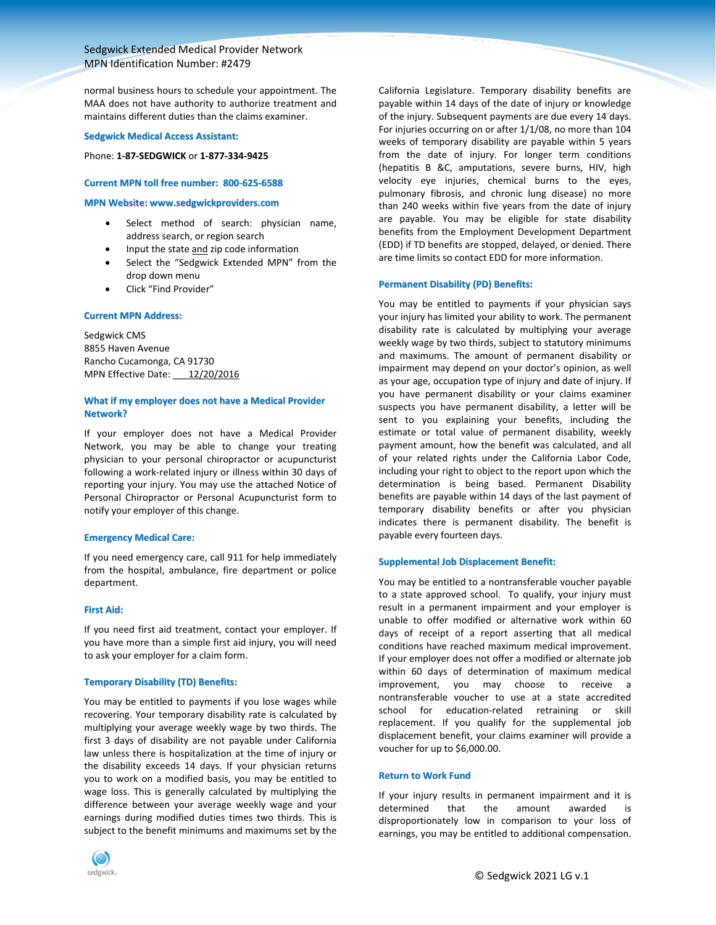# Sedgwick Extended Medical Provider Network MPN Identification Number: #2479

normal business hours to schedule your appointment. The MAA does not have authority to authorize treatment and maintains different duties than the claims examiner.

#### **Sedgwick Medical Access Assistant:**

Phone: **1-87-SEDGWICK** or **1-877-334-9425**

## **Current MPN toll free number: 800-625-6588**

#### **MPN Website: www.sedgwickproviders.com**

- Select method of search: physician name, address search, or region search
- Input the state and zip code information
- Select the "Sedgwick Extended MPN" from the drop down menu
- Click "Find Provider"

## **Current MPN Address:**

Sedgwick CMS 8855 Haven Avenue Rancho Cucamonga, CA 91730 MPN Effective Date: 12/20/2016

## **What if my employer does not have a Medical Provider Network?**

If your employer does not have a Medical Provider Network, you may be able to change your treating physician to your personal chiropractor or acupuncturist following a work-related injury or illness within 30 days of reporting your injury. You may use the attached Notice of Personal Chiropractor or Personal Acupuncturist form to notify your employer of this change.

## **Emergency Medical Care:**

If you need emergency care, call 911 for help immediately from the hospital, ambulance, fire department or police department.

## **First Aid:**

If you need first aid treatment, contact your employer. If you have more than a simple first aid injury, you will need to ask your employer for a claim form.

#### **Temporary Disability (TD) Benefits:**

You may be entitled to payments if you lose wages while recovering. Your temporary disability rate is calculated by multiplying your average weekly wage by two thirds. The first 3 days of disability are not payable under California law unless there is hospitalization at the time of injury or the disability exceeds 14 days. If your physician returns you to work on a modified basis, you may be entitled to wage loss. This is generally calculated by multiplying the difference between your average weekly wage and your earnings during modified duties times two thirds. This is subject to the benefit minimums and maximums set by the



California Legislature. Temporary disability benefits are payable within 14 days of the date of injury or knowledge of the injury. Subsequent payments are due every 14 days. For injuries occurring on or after 1/1/08, no more than 104 weeks of temporary disability are payable within 5 years from the date of injury. For longer term conditions (hepatitis B &C, amputations, severe burns, HIV, high velocity eye injuries, chemical burns to the eyes, pulmonary fibrosis, and chronic lung disease) no more than 240 weeks within five years from the date of injury are payable. You may be eligible for state disability benefits from the Employment Development Department (EDD) if TD benefits are stopped, delayed, or denied. There are time limits so contact EDD for more information.

## **Permanent Disability (PD) Benefits:**

You may be entitled to payments if your physician says your injury has limited your ability to work. The permanent disability rate is calculated by multiplying your average weekly wage by two thirds, subject to statutory minimums and maximums. The amount of permanent disability or impairment may depend on your doctor's opinion, as well as your age, occupation type of injury and date of injury. If you have permanent disability or your claims examiner suspects you have permanent disability, a letter will be sent to you explaining your benefits, including the estimate or total value of permanent disability, weekly payment amount, how the benefit was calculated, and all of your related rights under the California Labor Code, including your right to object to the report upon which the determination is being based. Permanent Disability benefits are payable within 14 days of the last payment of temporary disability benefits or after you physician indicates there is permanent disability. The benefit is payable every fourteen days.

#### **Supplemental Job Displacement Benefit:**

You may be entitled to a nontransferable voucher payable to a state approved school. To qualify, your injury must result in a permanent impairment and your employer is unable to offer modified or alternative work within 60 days of receipt of a report asserting that all medical conditions have reached maximum medical improvement. If your employer does not offer a modified or alternate job within 60 days of determination of maximum medical improvement, you may choose to receive a nontransferable voucher to use at a state accredited school for education-related retraining or skill replacement. If you qualify for the supplemental job displacement benefit, your claims examiner will provide a voucher for up to \$6,000.00.

## **Return to Work Fund**

If your injury results in permanent impairment and it is determined that the amount awarded is disproportionately low in comparison to your loss of earnings, you may be entitled to additional compensation.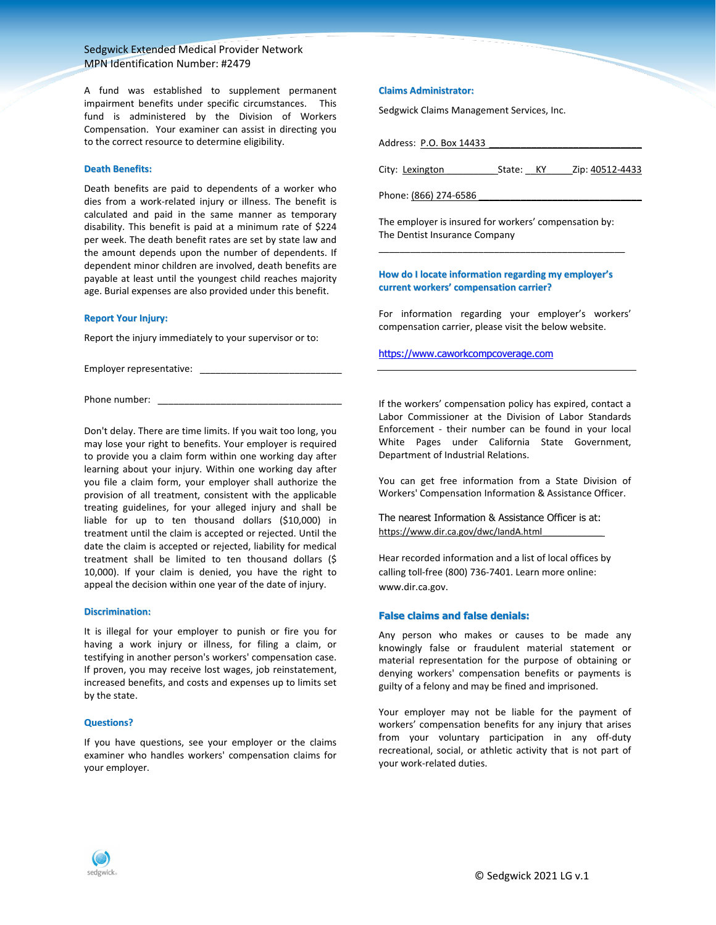# Sedgwick Extended Medical Provider Network MPN Identification Number: #2479

A fund was established to supplement permanent impairment benefits under specific circumstances. This fund is administered by the Division of Workers Compensation. Your examiner can assist in directing you to the correct resource to determine eligibility.

#### **Death Benefits:**

Death benefits are paid to dependents of a worker who dies from a work-related injury or illness. The benefit is calculated and paid in the same manner as temporary disability. This benefit is paid at a minimum rate of \$224 per week. The death benefit rates are set by state law and the amount depends upon the number of dependents. If dependent minor children are involved, death benefits are payable at least until the youngest child reaches majority age. Burial expenses are also provided under this benefit.

#### **Report Your Injury:**

Report the injury immediately to your supervisor or to:

Employer representative: \_\_\_\_\_\_\_\_\_\_\_\_\_\_\_\_\_\_\_\_\_\_\_\_\_\_\_

Phone number:

Don't delay. There are time limits. If you wait too long, you may lose your right to benefits. Your employer is required to provide you a claim form within one working day after learning about your injury. Within one working day after you file a claim form, your employer shall authorize the provision of all treatment, consistent with the applicable treating guidelines, for your alleged injury and shall be liable for up to ten thousand dollars (\$10,000) in treatment until the claim is accepted or rejected. Until the date the claim is accepted or rejected, liability for medical treatment shall be limited to ten thousand dollars (\$ 10,000). If your claim is denied, you have the right to appeal the decision within one year of the date of injury.

#### **Discrimination:**

It is illegal for your employer to punish or fire you for having a work injury or illness, for filing a claim, or testifying in another person's workers' compensation case. If proven, you may receive lost wages, job reinstatement, increased benefits, and costs and expenses up to limits set by the state.

## **Questions?**

If you have questions, see your employer or the claims examiner who handles workers' compensation claims for your employer.

## **Claims Administrator:**

Sedgwick Claims Management Services, Inc.

Address: P.O. Box 14433 \_\_\_\_\_\_\_\_\_\_\_\_\_\_\_\_\_\_\_\_\_\_\_\_\_\_\_\_\_

City: Lexington **State: KY** Zip: 40512-4433

Phone: (866) 274-6586

The employer is insured for workers' compensation by: The Dentist Insurance Company \_\_\_\_\_\_\_\_\_\_\_\_\_\_\_\_\_\_\_\_\_\_\_\_\_\_\_\_\_\_\_\_\_\_\_\_\_\_\_\_\_\_\_\_\_\_\_

**How do I locate information regarding my employer's current workers' compensation carrier?**

For information regarding your employer's workers' compensation carrier, please visit the below website.

[https://www.caworkcompcoverage.com](https://www.caworkcompcoverage.com/)

If the workers' compensation policy has expired, contact a Labor Commissioner at the Division of Labor Standards Enforcement - their number can be found in your local White Pages under California State Government, Department of Industrial Relations.

You can get free information from a State Division of Workers' Compensation Information & Assistance Officer.

The nearest Information & Assistance Officer is at: https://www.dir.ca.gov/dwc/IandA.html

Hear recorded information and a list of local offices by calling toll-free (800) 736-7401. Learn more online: www.dir.ca.gov.

## **False claims and false denials:**

Any person who makes or causes to be made any knowingly false or fraudulent material statement or material representation for the purpose of obtaining or denying workers' compensation benefits or payments is guilty of a felony and may be fined and imprisoned.

Your employer may not be liable for the payment of workers' compensation benefits for any injury that arises from your voluntary participation in any off-duty recreational, social, or athletic activity that is not part of your work-related duties.